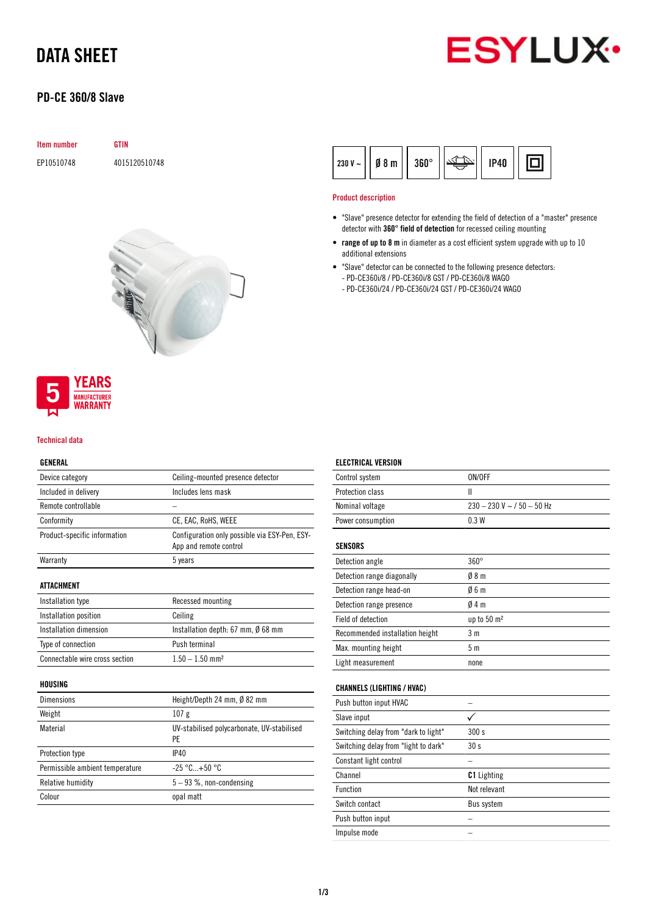# DATA SHEET

## PD-CE 360/8 Slave



| Item number | <b>GTIN</b>   |
|-------------|---------------|
| EP10510748  | 4015120510748 |





### Technical data

### GENERAL

| Device category                 | Ceiling-mounted presence detector                                       |
|---------------------------------|-------------------------------------------------------------------------|
| Included in delivery            | Includes lens mask                                                      |
| Remote controllable             |                                                                         |
| Conformity                      | CE, EAC, RoHS, WEEE                                                     |
| Product-specific information    | Configuration only possible via ESY-Pen, ESY-<br>App and remote control |
| Warranty                        | 5 years                                                                 |
| ATTACHMENT                      |                                                                         |
| Installation type               | Recessed mounting                                                       |
| Installation position           | Ceiling                                                                 |
| Installation dimension          | Installation depth: 67 mm, $\emptyset$ 68 mm                            |
| Type of connection              | Push terminal                                                           |
| Connectable wire cross section  | $1.50 - 1.50$ mm <sup>2</sup>                                           |
| HOUSING                         |                                                                         |
| Dimensions                      | Height/Depth 24 mm, Ø 82 mm                                             |
| Weight                          | 107 <sub>g</sub>                                                        |
| Material                        | UV-stabilised polycarbonate, UV-stabilised<br>PE                        |
| Protection type                 | IP40                                                                    |
| Permissible ambient temperature | $-25 °C+50 °C$                                                          |

Relative humidity  $5 - 93$  %, non-condensing

Colour opal matt

|  | $ 230 V -  $ Ø 8 m   360° |  | '   1P40     <u>انتخاصہ</u> |  |  |
|--|---------------------------|--|-----------------------------|--|--|
|--|---------------------------|--|-----------------------------|--|--|

### Product description

ELECTRICAL VERSION

- "Slave" presence detector for extending the field of detection of a "master" presence detector with 360° field of detection for recessed ceiling mounting
- range of up to 8 m in diameter as a cost efficient system upgrade with up to 10 additional extensions
- "Slave" detector can be connected to the following presence detectors: - PD-CE360i/8 / PD-CE360i/8 GST / PD-CE360i/8 WAGO
	- PD-CE360i/24 / PD-CE360i/24 GST / PD-CE360i/24 WAGO

| Control system                       | ON/OFF                       |
|--------------------------------------|------------------------------|
| Protection class                     | Ш                            |
| Nominal voltage                      | $230 - 230$ V ~ / 50 - 50 Hz |
| Power consumption                    | 0.3W                         |
| <b>SENSORS</b>                       |                              |
| Detection angle                      | $360^\circ$                  |
| Detection range diagonally           | 08 <sub>m</sub>              |
| Detection range head-on              | 06m                          |
| Detection range presence             | 04m                          |
| Field of detection                   | up to 50 m <sup>2</sup>      |
| Recommended installation height      | 3 <sub>m</sub>               |
| Max. mounting height                 | 5 <sub>m</sub>               |
| Light measurement                    | none                         |
| <b>CHANNELS (LIGHTING / HVAC)</b>    |                              |
| Push button input HVAC               |                              |
| Slave input                          |                              |
| Switching delay from "dark to light" | 300 s                        |
| Switching delay from "light to dark" | 30s                          |
| Constant light control               |                              |
| 0 <sub>z</sub>                       | $0.1 + 1.2$                  |

| <b>OUNDEDIN HEM CURTILION</b> |                    |
|-------------------------------|--------------------|
| Channel                       | <b>C1</b> Lighting |
| Function                      | Not relevant       |
| Switch contact                | Bus system         |
| Push button input             |                    |
| Impulse mode                  |                    |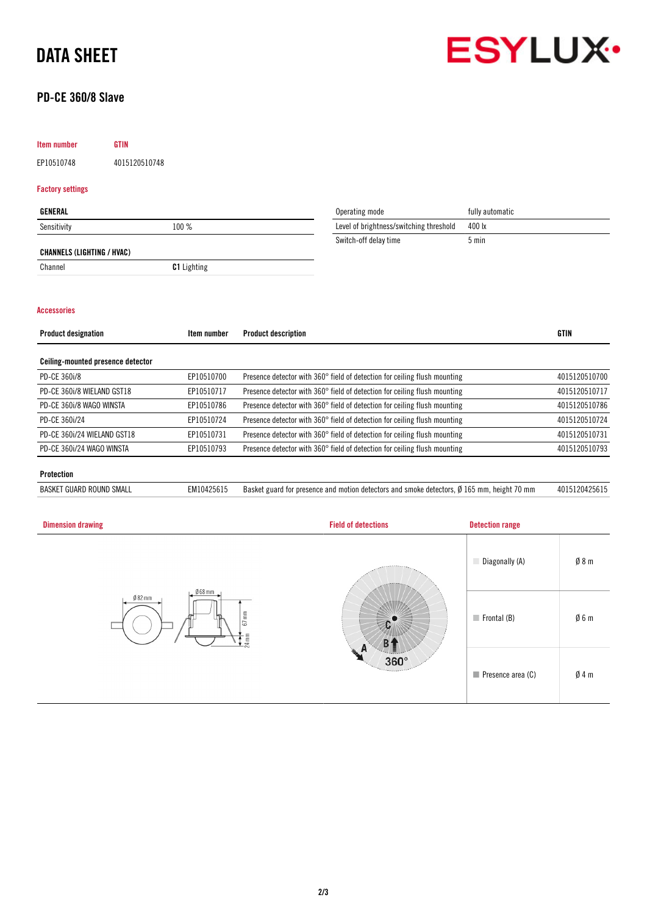# DATA SHEET



## PD-CE 360/8 Slave

## Item number GTIN

EP10510748 4015120510748

### Factory settings

| GENERAL                           |                    | Operating mode                          | fully automatic |
|-----------------------------------|--------------------|-----------------------------------------|-----------------|
| Sensitivity                       | 100 %              | Level of brightness/switching threshold | 400 lx          |
|                                   |                    | Switch-off delay time                   | 5 min           |
| <b>CHANNELS (LIGHTING / HVAC)</b> |                    |                                         |                 |
| Channel                           | <b>C1</b> Lighting |                                         |                 |

### Accessories

| <b>Product designation</b>        | Item number | <b>Product description</b>                                                | <b>GTIN</b>   |
|-----------------------------------|-------------|---------------------------------------------------------------------------|---------------|
|                                   |             |                                                                           |               |
| Ceiling-mounted presence detector |             |                                                                           |               |
| PD-CE 360i/8                      | EP10510700  | Presence detector with 360° field of detection for ceiling flush mounting | 4015120510700 |
| PD-CE 360i/8 WIELAND GST18        | EP10510717  | Presence detector with 360° field of detection for ceiling flush mounting | 4015120510717 |
| PD-CE 360i/8 WAGO WINSTA          | EP10510786  | Presence detector with 360° field of detection for ceiling flush mounting | 4015120510786 |
| PD-CE 360i/24                     | EP10510724  | Presence detector with 360° field of detection for ceiling flush mounting | 4015120510724 |
| PD-CE 360i/24 WIELAND GST18       | EP10510731  | Presence detector with 360° field of detection for ceiling flush mounting | 4015120510731 |
| PD-CE 360i/24 WAGO WINSTA         | EP10510793  | Presence detector with 360° field of detection for ceiling flush mounting | 4015120510793 |
|                                   |             |                                                                           |               |
| Protection                        |             |                                                                           |               |

BASKET GUARD ROUND SMALL EM10425615 Basket guard for presence and motion detectors and smoke detectors, Ø 165 mm, height 70 mm 4015120425615

| <b>Dimension drawing</b>               | <b>Field of detections</b>     | <b>Detection range</b>           |     |
|----------------------------------------|--------------------------------|----------------------------------|-----|
| $668$ mm<br>$Ø82$ mm<br>$67$ mm<br>4mm | $360^\circ$<br><b>Territor</b> | Diagonally (A)                   | Ø8m |
|                                        |                                | $\blacksquare$ Frontal (B)       | Ø6m |
|                                        |                                | $\blacksquare$ Presence area (C) | Ø4m |